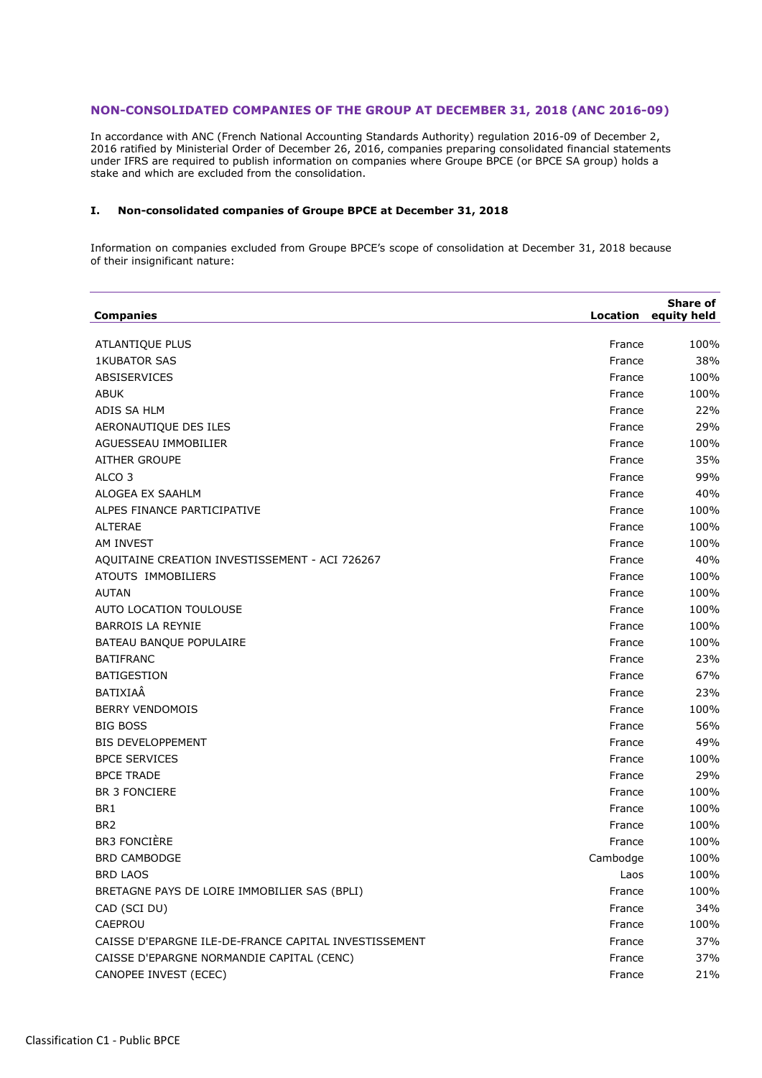## **NON-CONSOLIDATED COMPANIES OF THE GROUP AT DECEMBER 31, 2018 (ANC 2016-09)**

In accordance with ANC (French National Accounting Standards Authority) regulation 2016-09 of December 2, 2016 ratified by Ministerial Order of December 26, 2016, companies preparing consolidated financial statements under IFRS are required to publish information on companies where Groupe BPCE (or BPCE SA group) holds a stake and which are excluded from the consolidation.

## **I. Non-consolidated companies of Groupe BPCE at December 31, 2018**

Information on companies excluded from Groupe BPCE's scope of consolidation at December 31, 2018 because of their insignificant nature:

| <b>Companies</b>                                      |          | <b>Share of</b><br>Location equity held |
|-------------------------------------------------------|----------|-----------------------------------------|
| ATLANTIQUE PLUS                                       | France   | 100%                                    |
| <b>1KUBATOR SAS</b>                                   | France   | 38%                                     |
| ABSISERVICES                                          | France   | 100%                                    |
| <b>ABUK</b>                                           | France   | 100%                                    |
| ADIS SA HLM                                           | France   | 22%                                     |
| AERONAUTIQUE DES ILES                                 | France   | 29%                                     |
| AGUESSEAU IMMOBILIER                                  | France   | 100%                                    |
| <b>AITHER GROUPE</b>                                  | France   | 35%                                     |
| ALCO <sub>3</sub>                                     | France   | 99%                                     |
| ALOGEA EX SAAHLM                                      | France   | 40%                                     |
| ALPES FINANCE PARTICIPATIVE                           | France   | 100%                                    |
| <b>ALTERAE</b>                                        | France   | 100%                                    |
| AM INVEST                                             | France   | 100%                                    |
| AQUITAINE CREATION INVESTISSEMENT - ACI 726267        | France   | 40%                                     |
| ATOUTS IMMOBILIERS                                    | France   | 100%                                    |
| <b>AUTAN</b>                                          | France   | 100%                                    |
| AUTO LOCATION TOULOUSE                                | France   | 100%                                    |
| <b>BARROIS LA REYNIE</b>                              | France   | 100%                                    |
| BATEAU BANQUE POPULAIRE                               | France   | 100%                                    |
| <b>BATIFRANC</b>                                      | France   | 23%                                     |
| <b>BATIGESTION</b>                                    | France   | 67%                                     |
| BATIXIAÂ                                              | France   | 23%                                     |
| <b>BERRY VENDOMOIS</b>                                | France   | 100%                                    |
| <b>BIG BOSS</b>                                       | France   | 56%                                     |
| <b>BIS DEVELOPPEMENT</b>                              | France   | 49%                                     |
| <b>BPCE SERVICES</b>                                  | France   | 100%                                    |
| <b>BPCE TRADE</b>                                     | France   | 29%                                     |
| <b>BR 3 FONCIERE</b>                                  | France   | 100%                                    |
| BR <sub>1</sub>                                       | France   | 100%                                    |
| BR <sub>2</sub>                                       | France   | 100%                                    |
| <b>BR3 FONCIÈRE</b>                                   | France   | 100%                                    |
| <b>BRD CAMBODGE</b>                                   | Cambodge | 100%                                    |
| <b>BRD LAOS</b>                                       | Laos     | 100%                                    |
| BRETAGNE PAYS DE LOIRE IMMOBILIER SAS (BPLI)          | France   | 100%                                    |
| CAD (SCI DU)                                          | France   | 34%                                     |
| CAEPROU                                               | France   | 100%                                    |
| CAISSE D'EPARGNE ILE-DE-FRANCE CAPITAL INVESTISSEMENT | France   | 37%                                     |
| CAISSE D'EPARGNE NORMANDIE CAPITAL (CENC)             | France   | 37%                                     |
| CANOPEE INVEST (ECEC)                                 | France   | 21%                                     |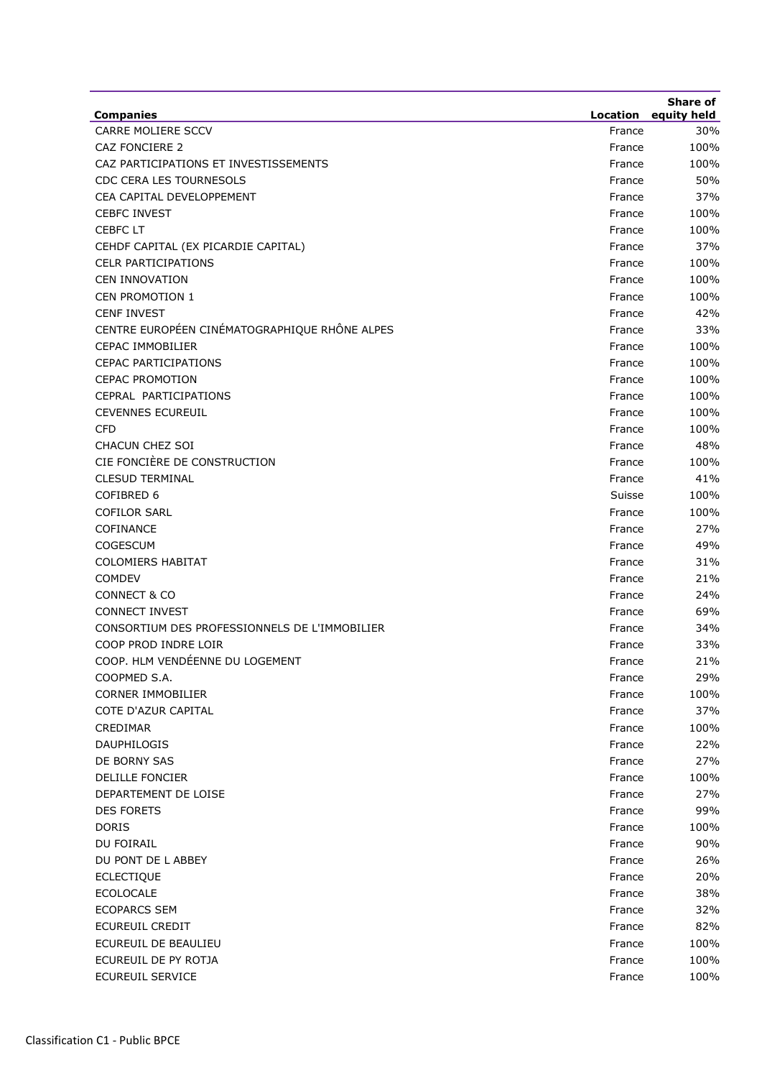|                                                                        |                    | Share of           |
|------------------------------------------------------------------------|--------------------|--------------------|
| <b>Companies</b><br>CARRE MOLIERE SCCV                                 | Location<br>France | equity held<br>30% |
| CAZ FONCIERE 2                                                         | France             | 100%               |
| CAZ PARTICIPATIONS ET INVESTISSEMENTS                                  | France             | 100%               |
| CDC CERA LES TOURNESOLS                                                | France             | 50%                |
| CEA CAPITAL DEVELOPPEMENT                                              | France             | 37%                |
| <b>CEBFC INVEST</b>                                                    | France             | 100%               |
| <b>CEBFC LT</b>                                                        |                    | 100%               |
|                                                                        | France<br>France   | 37%                |
| CEHDF CAPITAL (EX PICARDIE CAPITAL)                                    |                    | 100%               |
| <b>CELR PARTICIPATIONS</b><br><b>CEN INNOVATION</b>                    | France<br>France   | 100%               |
| <b>CEN PROMOTION 1</b>                                                 |                    |                    |
| <b>CENF INVEST</b>                                                     | France<br>France   | 100%<br>42%        |
| CENTRE EUROPÉEN CINÉMATOGRAPHIQUE RHÔNE ALPES                          |                    | 33%                |
| <b>CEPAC IMMOBILIER</b>                                                | France<br>France   | 100%               |
| <b>CEPAC PARTICIPATIONS</b>                                            | France             | 100%               |
|                                                                        |                    |                    |
| <b>CEPAC PROMOTION</b><br>CEPRAL PARTICIPATIONS                        | France             | 100%<br>100%       |
| <b>CEVENNES ECUREUIL</b>                                               | France             |                    |
|                                                                        | France             | 100%<br>100%       |
| <b>CFD</b>                                                             | France             |                    |
| <b>CHACUN CHEZ SOI</b><br>CIE FONCIÈRE DE CONSTRUCTION                 | France             | 48%                |
| <b>CLESUD TERMINAL</b>                                                 | France             | 100%               |
|                                                                        | France             | 41%                |
| COFIBRED 6                                                             | Suisse             | 100%               |
| <b>COFILOR SARL</b>                                                    | France             | 100%               |
| COFINANCE                                                              | France             | 27%                |
| <b>COGESCUM</b>                                                        | France             | 49%                |
| <b>COLOMIERS HABITAT</b><br><b>COMDEV</b>                              | France<br>France   | 31%<br>21%         |
| <b>CONNECT &amp; CO</b>                                                |                    | 24%                |
|                                                                        | France             |                    |
| <b>CONNECT INVEST</b><br>CONSORTIUM DES PROFESSIONNELS DE L'IMMOBILIER | France             | 69%<br>34%         |
| COOP PROD INDRE LOIR                                                   | France             | 33%                |
| COOP. HLM VENDÉENNE DU LOGEMENT                                        | France             |                    |
|                                                                        | France             | 21%                |
| COOPMED S.A.                                                           | France             | 29%                |
| <b>CORNER IMMOBILIER</b>                                               | France             | 100%               |
| COTE D'AZUR CAPITAL                                                    | France             | 37%                |
| CREDIMAR                                                               | France             | 100%               |
| <b>DAUPHILOGIS</b>                                                     | France             | 22%                |
| DE BORNY SAS                                                           | France             | 27%                |
| DELILLE FONCIER                                                        | France             | 100%               |
| DEPARTEMENT DE LOISE                                                   | France             | 27%                |
| <b>DES FORETS</b>                                                      | France             | 99%                |
| <b>DORIS</b>                                                           | France             | 100%               |
| DU FOIRAIL                                                             | France             | 90%                |
| DU PONT DE L ABBEY                                                     | France             | 26%                |
| <b>ECLECTIQUE</b>                                                      | France             | 20%                |
| <b>ECOLOCALE</b>                                                       | France             | 38%                |
| <b>ECOPARCS SEM</b>                                                    | France             | 32%                |
| <b>ECUREUIL CREDIT</b>                                                 | France             | 82%                |
| ECUREUIL DE BEAULIEU<br>ECUREUIL DE PY ROTJA                           | France             | 100%               |
|                                                                        | France             | 100%               |
| ECUREUIL SERVICE                                                       | France             | 100%               |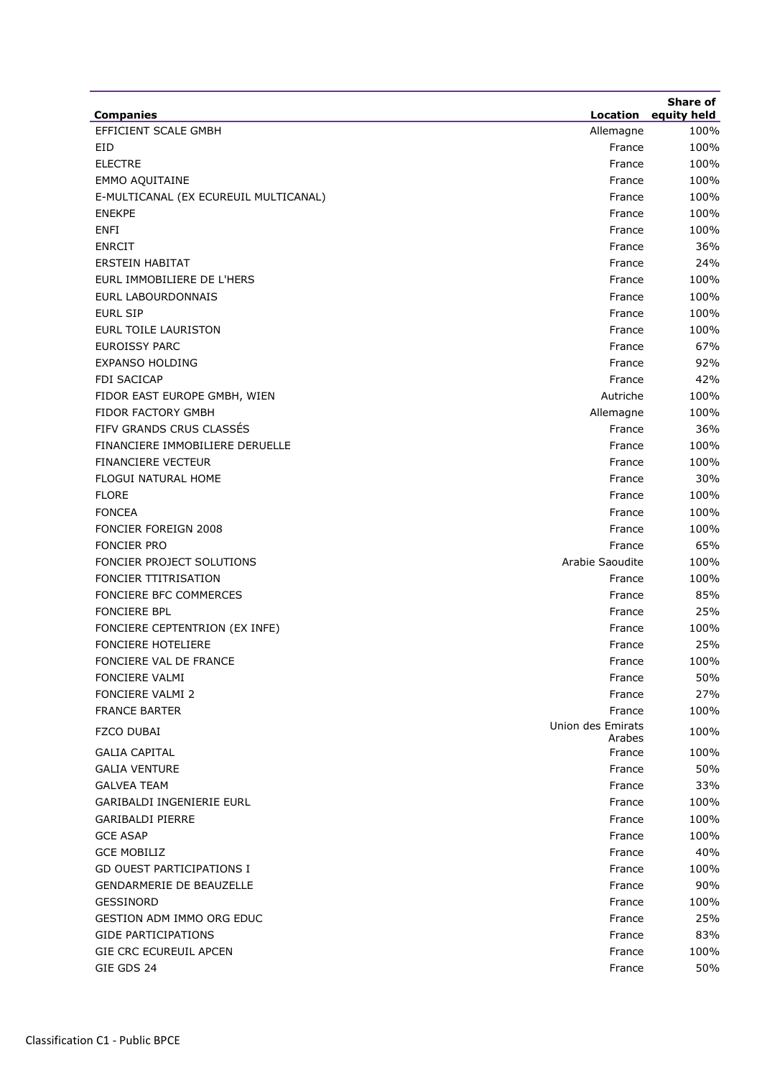| <b>Companies</b>                      |                             | Share of<br>Location equity held |
|---------------------------------------|-----------------------------|----------------------------------|
| EFFICIENT SCALE GMBH                  | Allemagne                   | 100%                             |
| <b>EID</b>                            | France                      | 100%                             |
| <b>ELECTRE</b>                        | France                      | 100%                             |
| <b>EMMO AQUITAINE</b>                 | France                      | 100%                             |
| E-MULTICANAL (EX ECUREUIL MULTICANAL) | France                      | 100%                             |
| <b>ENEKPE</b>                         | France                      | 100%                             |
| <b>ENFI</b>                           | France                      | 100%                             |
| <b>ENRCIT</b>                         | France                      | 36%                              |
| <b>ERSTEIN HABITAT</b>                | France                      | 24%                              |
| EURL IMMOBILIERE DE L'HERS            | France                      | 100%                             |
| <b>EURL LABOURDONNAIS</b>             | France                      | 100%                             |
| <b>EURL SIP</b>                       | France                      | 100%                             |
| EURL TOILE LAURISTON                  | France                      | 100%                             |
| <b>EUROISSY PARC</b>                  | France                      | 67%                              |
| <b>EXPANSO HOLDING</b>                | France                      | 92%                              |
| <b>FDI SACICAP</b>                    | France                      | 42%                              |
| FIDOR EAST EUROPE GMBH, WIEN          | Autriche                    | 100%                             |
| <b>FIDOR FACTORY GMBH</b>             | Allemagne                   | 100%                             |
| FIFV GRANDS CRUS CLASSÉS              | France                      | 36%                              |
| FINANCIERE IMMOBILIERE DERUELLE       | France                      | 100%                             |
| <b>FINANCIERE VECTEUR</b>             | France                      | 100%                             |
| FLOGUI NATURAL HOME                   | France                      | 30%                              |
| <b>FLORE</b>                          | France                      | 100%                             |
| <b>FONCEA</b>                         | France                      | 100%                             |
| FONCIER FOREIGN 2008                  | France                      | 100%                             |
| <b>FONCIER PRO</b>                    | France                      | 65%                              |
| FONCIER PROJECT SOLUTIONS             | Arabie Saoudite             | 100%                             |
| <b>FONCIER TTITRISATION</b>           | France                      | 100%                             |
| FONCIERE BFC COMMERCES                | France                      | 85%                              |
| <b>FONCIERE BPL</b>                   | France                      | 25%                              |
| FONCIERE CEPTENTRION (EX INFE)        | France                      | 100%                             |
| <b>FONCIERE HOTELIERE</b>             | France                      | 25%                              |
| FONCIERE VAL DE FRANCE                | France                      | 100%                             |
| <b>FONCIERE VALMI</b>                 | France                      | 50%                              |
| <b>FONCIERE VALMI 2</b>               | France                      | 27%                              |
| <b>FRANCE BARTER</b>                  | France                      | 100%                             |
| FZCO DUBAI                            | Union des Emirats<br>Arabes | 100%                             |
| <b>GALIA CAPITAL</b>                  | France                      | 100%                             |
| <b>GALIA VENTURE</b>                  | France                      | 50%                              |
| <b>GALVEA TEAM</b>                    | France                      | 33%                              |
| GARIBALDI INGENIERIE EURL             | France                      | 100%                             |
| <b>GARIBALDI PIERRE</b>               | France                      | 100%                             |
| <b>GCE ASAP</b>                       | France                      | 100%                             |
| <b>GCE MOBILIZ</b>                    | France                      | 40%                              |
| <b>GD OUEST PARTICIPATIONS I</b>      | France                      | 100%                             |
| <b>GENDARMERIE DE BEAUZELLE</b>       | France                      | 90%                              |
| GESSINORD                             | France                      | 100%                             |
| <b>GESTION ADM IMMO ORG EDUC</b>      | France                      | 25%                              |
| <b>GIDE PARTICIPATIONS</b>            | France                      | 83%                              |
| GIE CRC ECUREUIL APCEN                | France                      | 100%                             |
| GIE GDS 24                            | France                      | 50%                              |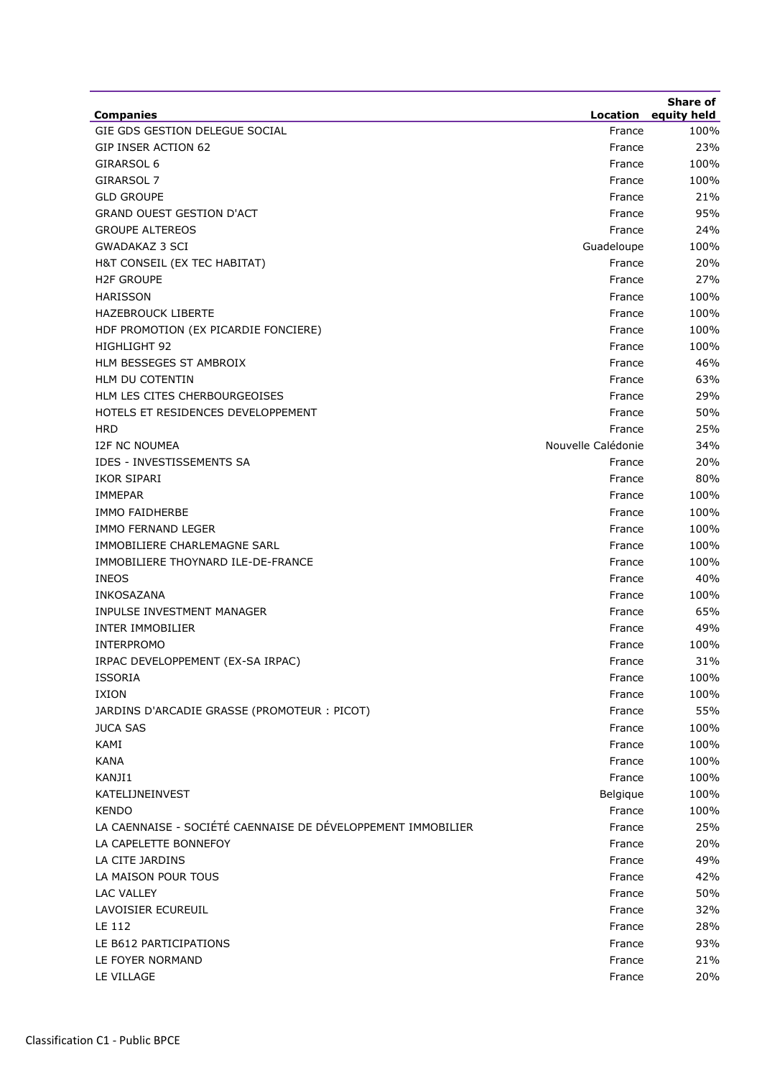| <b>Companies</b>                                             |                    | <b>Share of</b><br>Location equity held |
|--------------------------------------------------------------|--------------------|-----------------------------------------|
| GIE GDS GESTION DELEGUE SOCIAL                               | France             | 100%                                    |
| <b>GIP INSER ACTION 62</b>                                   | France             | 23%                                     |
| GIRARSOL 6                                                   | France             | 100%                                    |
| GIRARSOL 7                                                   | France             | 100%                                    |
| <b>GLD GROUPE</b>                                            | France             | 21%                                     |
| <b>GRAND OUEST GESTION D'ACT</b>                             | France             | 95%                                     |
| <b>GROUPE ALTEREOS</b>                                       | France             | 24%                                     |
| <b>GWADAKAZ 3 SCI</b>                                        | Guadeloupe         | 100%                                    |
| H&T CONSEIL (EX TEC HABITAT)                                 | France             | 20%                                     |
| <b>H2F GROUPE</b>                                            | France             | 27%                                     |
| <b>HARISSON</b>                                              | France             | 100%                                    |
| <b>HAZEBROUCK LIBERTE</b>                                    | France             | 100%                                    |
| HDF PROMOTION (EX PICARDIE FONCIERE)                         | France             | 100%                                    |
| HIGHLIGHT 92                                                 | France             | 100%                                    |
| HLM BESSEGES ST AMBROIX                                      | France             | 46%                                     |
| <b>HLM DU COTENTIN</b>                                       | France             | 63%                                     |
| HLM LES CITES CHERBOURGEOISES                                | France             | 29%                                     |
| HOTELS ET RESIDENCES DEVELOPPEMENT                           | France             | 50%                                     |
| <b>HRD</b>                                                   | France             | 25%                                     |
| <b>I2F NC NOUMEA</b>                                         | Nouvelle Calédonie | 34%                                     |
| IDES - INVESTISSEMENTS SA                                    | France             | 20%                                     |
| IKOR SIPARI                                                  | France             | 80%                                     |
| <b>IMMEPAR</b>                                               | France             | 100%                                    |
| <b>IMMO FAIDHERBE</b>                                        | France             | 100%                                    |
| IMMO FERNAND LEGER                                           | France             | 100%                                    |
| IMMOBILIERE CHARLEMAGNE SARL                                 | France             | 100%                                    |
| IMMOBILIERE THOYNARD ILE-DE-FRANCE                           | France             | 100%                                    |
| <b>INEOS</b>                                                 | France             | 40%                                     |
| INKOSAZANA                                                   | France             | 100%                                    |
| INPULSE INVESTMENT MANAGER                                   | France             | 65%                                     |
| <b>INTER IMMOBILIER</b>                                      | France             | 49%                                     |
| <b>INTERPROMO</b>                                            | France             | 100%                                    |
| IRPAC DEVELOPPEMENT (EX-SA IRPAC)                            | France             | 31%                                     |
| <b>ISSORIA</b>                                               | France             | 100%                                    |
| IXION                                                        | France             | 100%                                    |
| JARDINS D'ARCADIE GRASSE (PROMOTEUR : PICOT)                 | France             | 55%                                     |
| <b>JUCA SAS</b>                                              | France             | 100%                                    |
| KAMI                                                         | France             | 100%                                    |
| KANA                                                         | France             | 100%                                    |
| KANJI1                                                       | France             | 100%                                    |
| KATELIJNEINVEST                                              | Belgique           | 100%                                    |
| <b>KENDO</b>                                                 | France             | 100%                                    |
| LA CAENNAISE - SOCIÉTÉ CAENNAISE DE DÉVELOPPEMENT IMMOBILIER | France             | 25%                                     |
| LA CAPELETTE BONNEFOY                                        | France             | 20%                                     |
| LA CITE JARDINS                                              | France             | 49%                                     |
| LA MAISON POUR TOUS                                          | France             | 42%                                     |
| <b>LAC VALLEY</b>                                            | France             | 50%                                     |
| LAVOISIER ECUREUIL                                           | France             | 32%                                     |
| <b>LE 112</b>                                                | France             | 28%                                     |
| LE B612 PARTICIPATIONS                                       | France             | 93%                                     |
| LE FOYER NORMAND                                             | France             | 21%                                     |
| LE VILLAGE                                                   | France             | 20%                                     |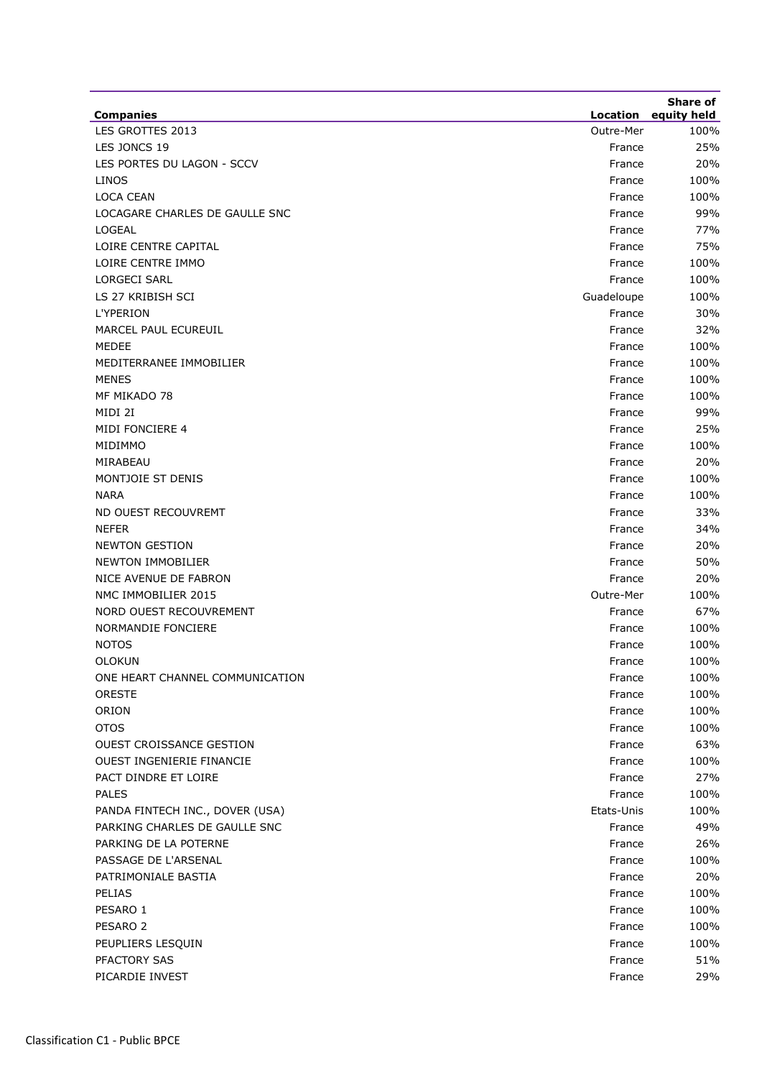| <b>Companies</b>                | Location   | Share of<br>equity held |
|---------------------------------|------------|-------------------------|
| LES GROTTES 2013                | Outre-Mer  | 100%                    |
| LES JONCS 19                    | France     | 25%                     |
| LES PORTES DU LAGON - SCCV      | France     | 20%                     |
| <b>LINOS</b>                    | France     | 100%                    |
| <b>LOCA CEAN</b>                | France     | 100%                    |
| LOCAGARE CHARLES DE GAULLE SNC  | France     | 99%                     |
| LOGEAL                          | France     | 77%                     |
| LOIRE CENTRE CAPITAL            | France     | 75%                     |
| LOIRE CENTRE IMMO               | France     | 100%                    |
| <b>LORGECI SARL</b>             | France     | 100%                    |
| LS 27 KRIBISH SCI               | Guadeloupe | 100%                    |
| L'YPERION                       | France     | 30%                     |
| MARCEL PAUL ECUREUIL            | France     | 32%                     |
| <b>MEDEE</b>                    | France     | 100%                    |
| MEDITERRANEE IMMOBILIER         | France     | 100%                    |
| <b>MENES</b>                    | France     | 100%                    |
| MF MIKADO 78                    | France     | 100%                    |
| MIDI 2I                         | France     | 99%                     |
| MIDI FONCIERE 4                 | France     | 25%                     |
| MIDIMMO                         | France     | 100%                    |
| MIRABEAU                        | France     | 20%                     |
| MONTJOIE ST DENIS               | France     | 100%                    |
| <b>NARA</b>                     | France     | 100%                    |
| ND OUEST RECOUVREMT             | France     | 33%                     |
| <b>NEFER</b>                    | France     | 34%                     |
| <b>NEWTON GESTION</b>           | France     | 20%                     |
| <b>NEWTON IMMOBILIER</b>        | France     | 50%                     |
| NICE AVENUE DE FABRON           | France     | 20%                     |
| NMC IMMOBILIER 2015             | Outre-Mer  | 100%                    |
| NORD OUEST RECOUVREMENT         | France     | 67%                     |
| NORMANDIE FONCIERE              | France     | 100%                    |
| <b>NOTOS</b>                    | France     | 100%                    |
| <b>OLOKUN</b>                   | France     | 100%                    |
| ONE HEART CHANNEL COMMUNICATION | France     | 100%                    |
| <b>ORESTE</b>                   | France     | 100%                    |
| ORION                           | France     | 100%                    |
| <b>OTOS</b>                     | France     | 100%                    |
| <b>OUEST CROISSANCE GESTION</b> | France     | 63%                     |
| OUEST INGENIERIE FINANCIE       | France     | 100%                    |
| PACT DINDRE ET LOIRE            | France     | 27%                     |
| <b>PALES</b>                    | France     | 100%                    |
| PANDA FINTECH INC., DOVER (USA) | Etats-Unis | 100%                    |
| PARKING CHARLES DE GAULLE SNC   | France     | 49%                     |
| PARKING DE LA POTERNE           | France     | 26%                     |
| PASSAGE DE L'ARSENAL            | France     | 100%                    |
| PATRIMONIALE BASTIA             | France     | 20%                     |
| <b>PELIAS</b>                   | France     | 100%                    |
| PESARO 1                        | France     | 100%                    |
| PESARO <sub>2</sub>             | France     | 100%                    |
| PEUPLIERS LESQUIN               | France     | 100%                    |
| PFACTORY SAS                    | France     | 51%                     |
| PICARDIE INVEST                 | France     | 29%                     |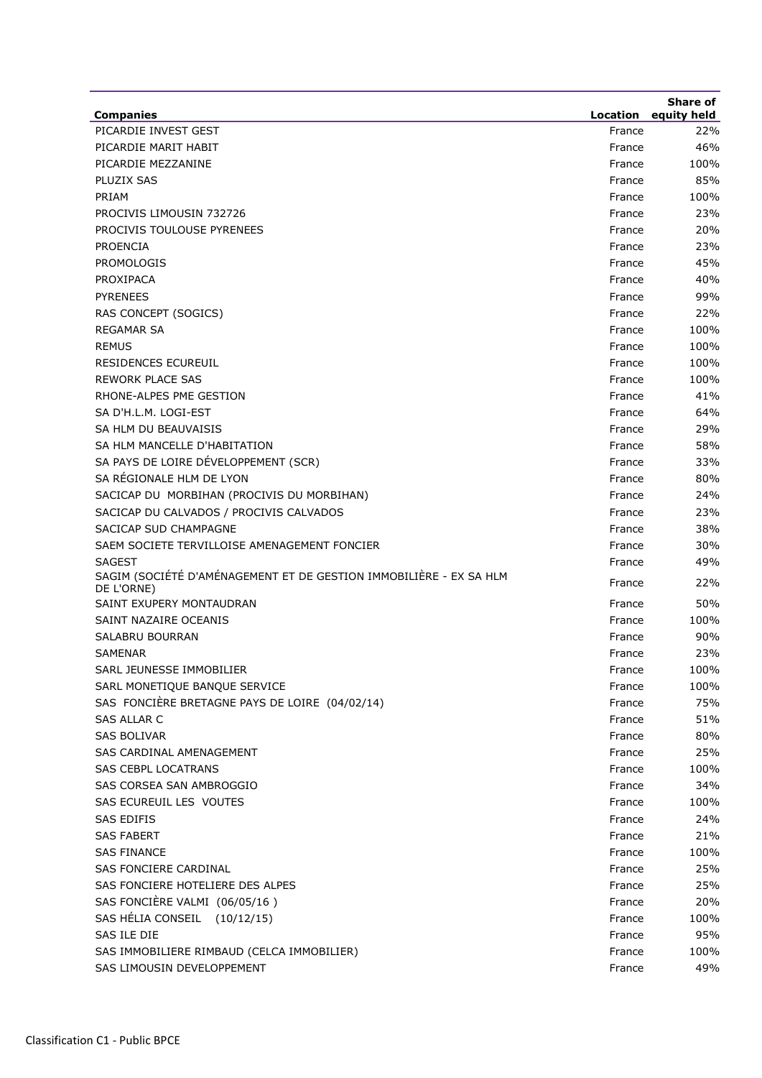|                                                                                  |                    | <b>Share of</b> |
|----------------------------------------------------------------------------------|--------------------|-----------------|
| <b>Companies</b><br>PICARDIE INVEST GEST                                         | Location<br>France | equity held     |
| PICARDIE MARIT HABIT                                                             |                    | 22%<br>46%      |
| PICARDIE MEZZANINE                                                               | France<br>France   |                 |
| PLUZIX SAS                                                                       | France             | 100%<br>85%     |
| PRIAM                                                                            |                    | 100%            |
| PROCIVIS LIMOUSIN 732726                                                         | France<br>France   | 23%             |
| PROCIVIS TOULOUSE PYRENEES                                                       |                    | 20%             |
| <b>PROENCIA</b>                                                                  | France<br>France   | 23%             |
| <b>PROMOLOGIS</b>                                                                | France             | 45%             |
| PROXIPACA                                                                        | France             | 40%             |
| <b>PYRENEES</b>                                                                  | France             | 99%             |
| RAS CONCEPT (SOGICS)                                                             | France             | 22%             |
| <b>REGAMAR SA</b>                                                                | France             | 100%            |
| <b>REMUS</b>                                                                     | France             | 100%            |
| <b>RESIDENCES ECUREUIL</b>                                                       | France             | 100%            |
| <b>REWORK PLACE SAS</b>                                                          | France             | 100%            |
| RHONE-ALPES PME GESTION                                                          | France             | 41%             |
| SA D'H.L.M. LOGI-EST                                                             | France             | 64%             |
| SA HLM DU BEAUVAISIS                                                             | France             | 29%             |
| SA HLM MANCELLE D'HABITATION                                                     | France             | 58%             |
| SA PAYS DE LOIRE DÉVELOPPEMENT (SCR)                                             | France             | 33%             |
| SA RÉGIONALE HLM DE LYON                                                         | France             | 80%             |
| SACICAP DU MORBIHAN (PROCIVIS DU MORBIHAN)                                       | France             | 24%             |
| SACICAP DU CALVADOS / PROCIVIS CALVADOS                                          | France             | 23%             |
| SACICAP SUD CHAMPAGNE                                                            | France             | 38%             |
| SAEM SOCIETE TERVILLOISE AMENAGEMENT FONCIER                                     | France             | 30%             |
| <b>SAGEST</b>                                                                    | France             | 49%             |
| SAGIM (SOCIÉTÉ D'AMÉNAGEMENT ET DE GESTION IMMOBILIÈRE - EX SA HLM<br>DE L'ORNE) | France             | 22%             |
| SAINT EXUPERY MONTAUDRAN                                                         | France             | 50%             |
| SAINT NAZAIRE OCEANIS                                                            | France             | 100%            |
| SALABRU BOURRAN                                                                  | France             | 90%             |
| <b>SAMENAR</b>                                                                   | France             | 23%             |
| SARL JEUNESSE IMMOBILIER                                                         | France             | 100%            |
| SARL MONETIQUE BANQUE SERVICE                                                    | France             | 100%            |
| SAS FONCIÈRE BRETAGNE PAYS DE LOIRE (04/02/14)                                   | France             | 75%             |
| <b>SAS ALLAR C</b>                                                               | France             | 51%             |
| <b>SAS BOLIVAR</b>                                                               | France             | 80%             |
| SAS CARDINAL AMENAGEMENT                                                         | France             | 25%             |
| <b>SAS CEBPL LOCATRANS</b>                                                       | France             | 100%            |
| SAS CORSEA SAN AMBROGGIO                                                         | France             | 34%             |
| SAS ECUREUIL LES VOUTES                                                          | France             | 100%            |
| <b>SAS EDIFIS</b>                                                                | France             | 24%             |
| SAS FABERT                                                                       | France             | 21%             |
| <b>SAS FINANCE</b>                                                               | France             | 100%            |
| SAS FONCIERE CARDINAL                                                            | France             | 25%             |
| SAS FONCIERE HOTELIERE DES ALPES                                                 | France             | 25%             |
| SAS FONCIÈRE VALMI (06/05/16)                                                    | France             | 20%             |
| SAS HÉLIA CONSEIL<br>(10/12/15)                                                  | France             | 100%            |
| SAS ILE DIE                                                                      | France             | 95%             |
| SAS IMMOBILIERE RIMBAUD (CELCA IMMOBILIER)                                       | France             | 100%            |
| SAS LIMOUSIN DEVELOPPEMENT                                                       | France             | 49%             |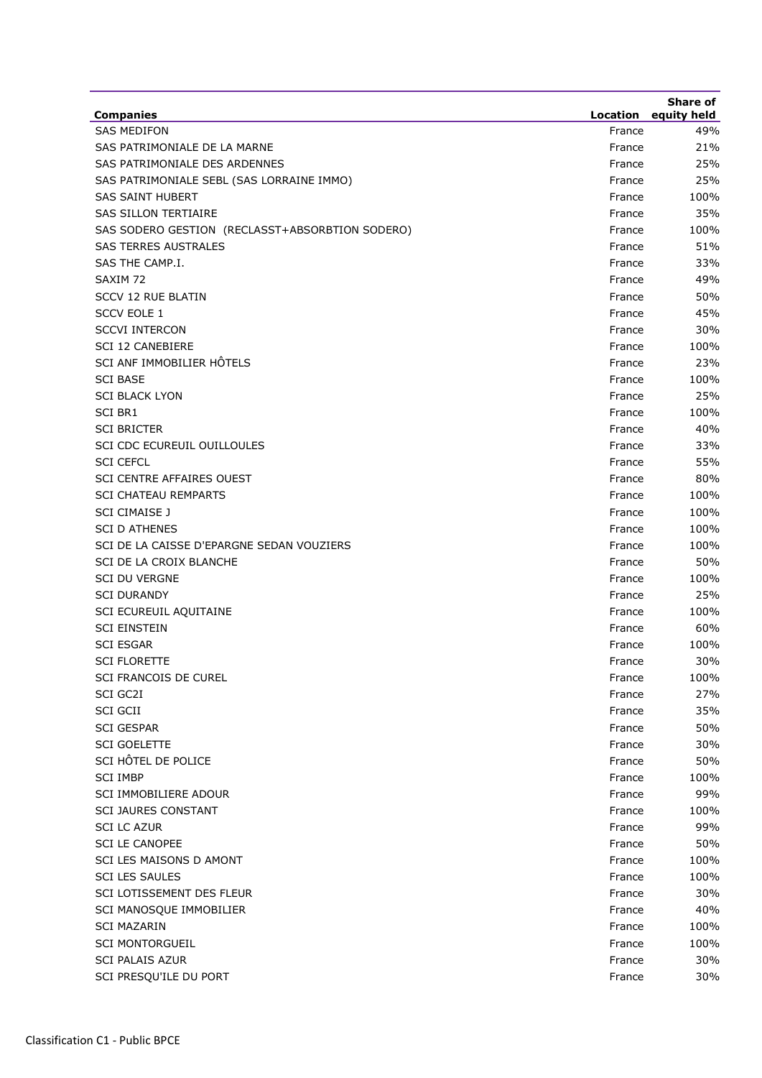|                                                 |          | <b>Share of</b> |
|-------------------------------------------------|----------|-----------------|
| <b>Companies</b>                                | Location | equity held     |
| <b>SAS MEDIFON</b>                              | France   | 49%             |
| SAS PATRIMONIALE DE LA MARNE                    | France   | 21%             |
| SAS PATRIMONIALE DES ARDENNES                   | France   | 25%             |
| SAS PATRIMONIALE SEBL (SAS LORRAINE IMMO)       | France   | 25%             |
| <b>SAS SAINT HUBERT</b>                         | France   | 100%            |
| <b>SAS SILLON TERTIAIRE</b>                     | France   | 35%             |
| SAS SODERO GESTION (RECLASST+ABSORBTION SODERO) | France   | 100%            |
| <b>SAS TERRES AUSTRALES</b>                     | France   | 51%             |
| SAS THE CAMP.I.                                 | France   | 33%             |
| SAXIM 72                                        | France   | 49%             |
| <b>SCCV 12 RUE BLATIN</b>                       | France   | 50%             |
| <b>SCCV EOLE 1</b>                              | France   | 45%             |
| <b>SCCVI INTERCON</b>                           | France   | 30%             |
| <b>SCI 12 CANEBIERE</b>                         | France   | 100%            |
| SCI ANF IMMOBILIER HÔTELS                       | France   | 23%             |
| <b>SCI BASE</b>                                 | France   | 100%            |
| <b>SCI BLACK LYON</b>                           | France   | 25%             |
| <b>SCI BR1</b>                                  | France   | 100%            |
| <b>SCI BRICTER</b>                              | France   | 40%             |
| SCI CDC ECUREUIL OUILLOULES                     | France   | 33%             |
| <b>SCI CEFCL</b>                                | France   | 55%             |
| <b>SCI CENTRE AFFAIRES OUEST</b>                | France   | 80%             |
| <b>SCI CHATEAU REMPARTS</b>                     | France   | 100%            |
| <b>SCI CIMAISE J</b>                            | France   | 100%            |
| <b>SCI D ATHENES</b>                            | France   | 100%            |
| SCI DE LA CAISSE D'EPARGNE SEDAN VOUZIERS       | France   | 100%            |
| SCI DE LA CROIX BLANCHE                         | France   | 50%             |
| <b>SCI DU VERGNE</b>                            | France   | 100%            |
| <b>SCI DURANDY</b>                              | France   | 25%             |
| SCI ECUREUIL AQUITAINE                          | France   | 100%            |
| <b>SCI EINSTEIN</b>                             | France   | 60%             |
| <b>SCI ESGAR</b>                                | France   | 100%            |
| <b>SCI FLORETTE</b>                             | France   | 30%             |
| <b>SCI FRANCOIS DE CUREL</b>                    | France   | 100%            |
| SCI GC2I                                        | France   | 27%             |
| <b>SCI GCII</b>                                 | France   | 35%             |
| <b>SCI GESPAR</b>                               | France   | 50%             |
| <b>SCI GOELETTE</b>                             | France   | 30%             |
| SCI HÔTEL DE POLICE                             | France   | 50%             |
| <b>SCI IMBP</b>                                 | France   | 100%            |
| SCI IMMOBILIERE ADOUR                           | France   | 99%             |
| <b>SCI JAURES CONSTANT</b>                      | France   | 100%            |
| <b>SCI LC AZUR</b>                              | France   | 99%             |
| <b>SCI LE CANOPEE</b>                           | France   | 50%             |
| SCI LES MAISONS D AMONT                         | France   | 100%            |
| <b>SCI LES SAULES</b>                           | France   | 100%            |
| SCI LOTISSEMENT DES FLEUR                       | France   | 30%             |
| SCI MANOSQUE IMMOBILIER                         | France   | 40%             |
| <b>SCI MAZARIN</b>                              | France   | 100%            |
| <b>SCI MONTORGUEIL</b>                          | France   | 100%            |
| <b>SCI PALAIS AZUR</b>                          | France   | 30%             |
| SCI PRESQU'ILE DU PORT                          | France   | 30%             |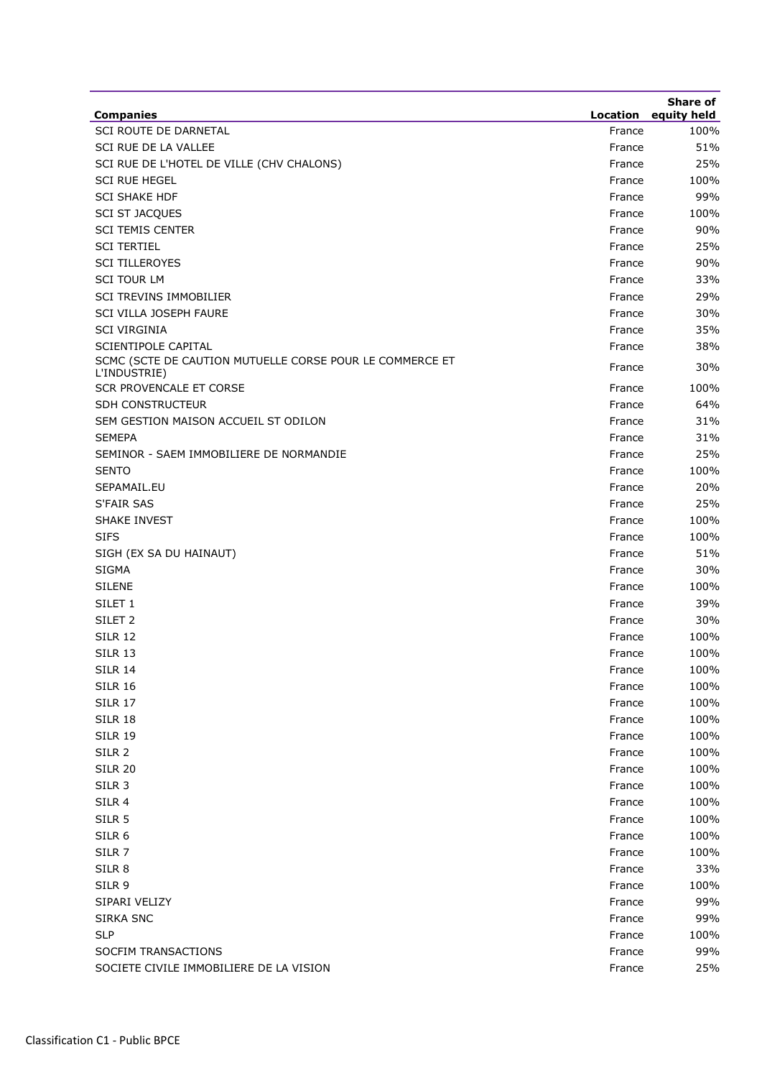| <b>Companies</b>                                                         |        | <b>Share of</b><br><b>Location</b> equity held |
|--------------------------------------------------------------------------|--------|------------------------------------------------|
| SCI ROUTE DE DARNETAL                                                    | France | 100%                                           |
| SCI RUE DE LA VALLEE                                                     | France | 51%                                            |
| SCI RUE DE L'HOTEL DE VILLE (CHV CHALONS)                                | France | 25%                                            |
| <b>SCI RUE HEGEL</b>                                                     | France | 100%                                           |
| <b>SCI SHAKE HDF</b>                                                     | France | 99%                                            |
| <b>SCI ST JACQUES</b>                                                    | France | 100%                                           |
| <b>SCI TEMIS CENTER</b>                                                  | France | 90%                                            |
| <b>SCI TERTIEL</b>                                                       | France | 25%                                            |
| <b>SCI TILLEROYES</b>                                                    | France | 90%                                            |
| <b>SCI TOUR LM</b>                                                       | France | 33%                                            |
| SCI TREVINS IMMOBILIER                                                   | France | 29%                                            |
| SCI VILLA JOSEPH FAURE                                                   | France | 30%                                            |
| <b>SCI VIRGINIA</b>                                                      | France | 35%                                            |
| <b>SCIENTIPOLE CAPITAL</b>                                               | France | 38%                                            |
| SCMC (SCTE DE CAUTION MUTUELLE CORSE POUR LE COMMERCE ET<br>L'INDUSTRIE) | France | 30%                                            |
| <b>SCR PROVENCALE ET CORSE</b>                                           | France | 100%                                           |
| <b>SDH CONSTRUCTEUR</b>                                                  | France | 64%                                            |
| SEM GESTION MAISON ACCUEIL ST ODILON                                     | France | 31%                                            |
| <b>SEMEPA</b>                                                            | France | 31%                                            |
| SEMINOR - SAEM IMMOBILIERE DE NORMANDIE                                  | France | 25%                                            |
| <b>SENTO</b>                                                             | France | 100%                                           |
| SEPAMAIL.EU                                                              | France | 20%                                            |
| <b>S'FAIR SAS</b>                                                        | France | 25%                                            |
| <b>SHAKE INVEST</b>                                                      | France | 100%                                           |
| <b>SIFS</b>                                                              | France | 100%                                           |
| SIGH (EX SA DU HAINAUT)                                                  | France | 51%                                            |
| <b>SIGMA</b>                                                             | France | 30%                                            |
| <b>SILENE</b>                                                            | France | 100%                                           |
| SILET <sub>1</sub>                                                       | France | 39%                                            |
| SILET <sub>2</sub>                                                       | France | 30%                                            |
| <b>SILR 12</b>                                                           | France | 100%                                           |
| <b>SILR 13</b>                                                           | France | 100%                                           |
| <b>SILR 14</b>                                                           | France | 100%                                           |
| <b>SILR 16</b>                                                           | France | 100%                                           |
| <b>SILR 17</b>                                                           | France | 100%                                           |
| <b>SILR 18</b>                                                           | France | 100%                                           |
| <b>SILR 19</b>                                                           | France | 100%                                           |
| SILR 2                                                                   | France | 100%                                           |
| <b>SILR 20</b>                                                           | France | 100%                                           |
| SILR <sub>3</sub>                                                        | France | 100%                                           |
| SILR 4                                                                   | France | 100%                                           |
| SILR <sub>5</sub>                                                        | France | 100%                                           |
| SILR <sub>6</sub>                                                        | France | 100%                                           |
|                                                                          |        |                                                |
| SILR <sub>7</sub>                                                        | France | 100%                                           |
| SILR <sub>8</sub>                                                        | France | 33%                                            |
| SILR 9                                                                   | France | 100%                                           |
| SIPARI VELIZY                                                            | France | 99%                                            |
| <b>SIRKA SNC</b>                                                         | France | 99%                                            |
| <b>SLP</b>                                                               | France | 100%                                           |
| SOCFIM TRANSACTIONS                                                      | France | 99%                                            |
| SOCIETE CIVILE IMMOBILIERE DE LA VISION                                  | France | 25%                                            |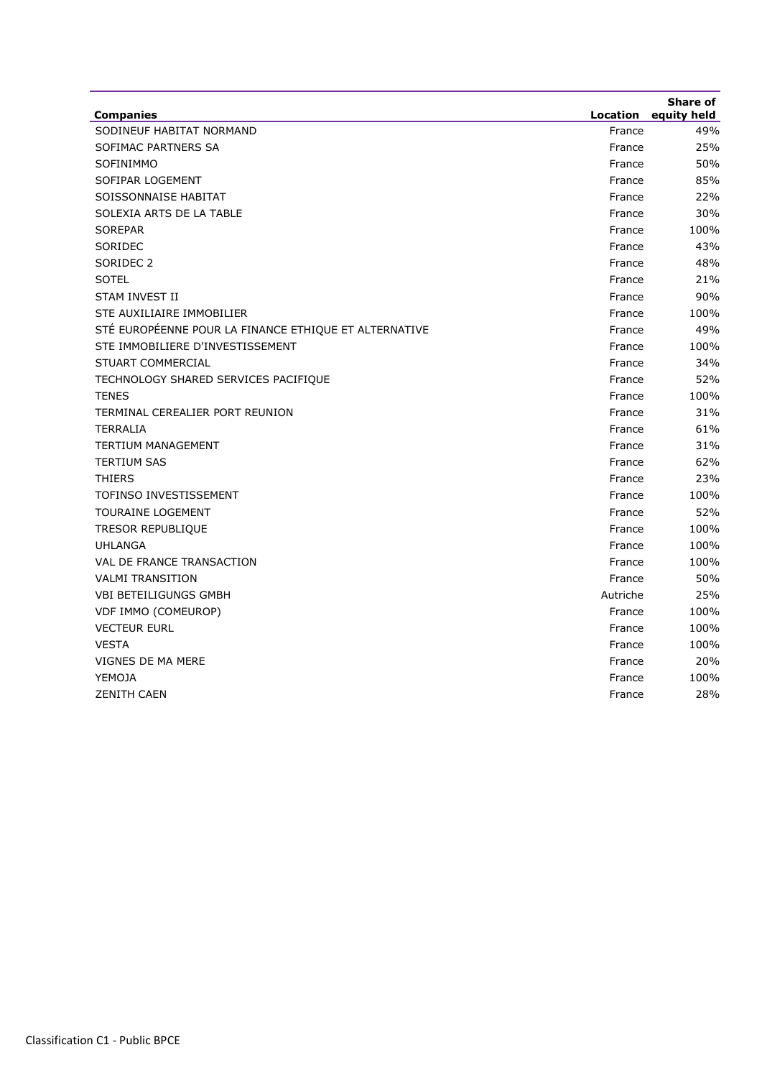| <b>Companies</b>                                      | Location | Share of<br>equity held |
|-------------------------------------------------------|----------|-------------------------|
| SODINEUF HABITAT NORMAND                              | France   | 49%                     |
| SOFIMAC PARTNERS SA                                   | France   | 25%                     |
| SOFINIMMO                                             | France   | 50%                     |
| SOFIPAR LOGEMENT                                      | France   | 85%                     |
| SOISSONNAISE HABITAT                                  | France   | 22%                     |
| SOLEXIA ARTS DE LA TABLE                              | France   | 30%                     |
| <b>SOREPAR</b>                                        | France   | 100%                    |
| SORIDEC                                               | France   | 43%                     |
| SORIDEC <sub>2</sub>                                  | France   | 48%                     |
| <b>SOTEL</b>                                          | France   | 21%                     |
| STAM INVEST II                                        | France   | 90%                     |
| STE AUXILIAIRE IMMOBILIER                             | France   | 100%                    |
| STÉ EUROPÉENNE POUR LA FINANCE ETHIQUE ET ALTERNATIVE | France   | 49%                     |
| STE IMMOBILIERE D'INVESTISSEMENT                      | France   | 100%                    |
| STUART COMMERCIAL                                     | France   | 34%                     |
| TECHNOLOGY SHARED SERVICES PACIFIQUE                  | France   | 52%                     |
| <b>TENES</b>                                          | France   | 100%                    |
| TERMINAL CEREALIER PORT REUNION                       | France   | 31%                     |
| <b>TERRALIA</b>                                       | France   | 61%                     |
| <b>TERTIUM MANAGEMENT</b>                             | France   | 31%                     |
| <b>TERTIUM SAS</b>                                    | France   | 62%                     |
| <b>THIERS</b>                                         | France   | 23%                     |
| TOFINSO INVESTISSEMENT                                | France   | 100%                    |
| TOURAINE LOGEMENT                                     | France   | 52%                     |
| TRESOR REPUBLIQUE                                     | France   | 100%                    |
| <b>UHLANGA</b>                                        | France   | 100%                    |
| VAL DE FRANCE TRANSACTION                             | France   | 100%                    |
| <b>VALMI TRANSITION</b>                               | France   | 50%                     |
| <b>VBI BETEILIGUNGS GMBH</b>                          | Autriche | 25%                     |
| VDF IMMO (COMEUROP)                                   | France   | 100%                    |
| <b>VECTEUR EURL</b>                                   | France   | 100%                    |
| <b>VESTA</b>                                          | France   | 100%                    |
| VIGNES DE MA MERE                                     | France   | 20%                     |
| YEMOJA                                                | France   | 100%                    |
| <b>ZENITH CAEN</b>                                    | France   | 28%                     |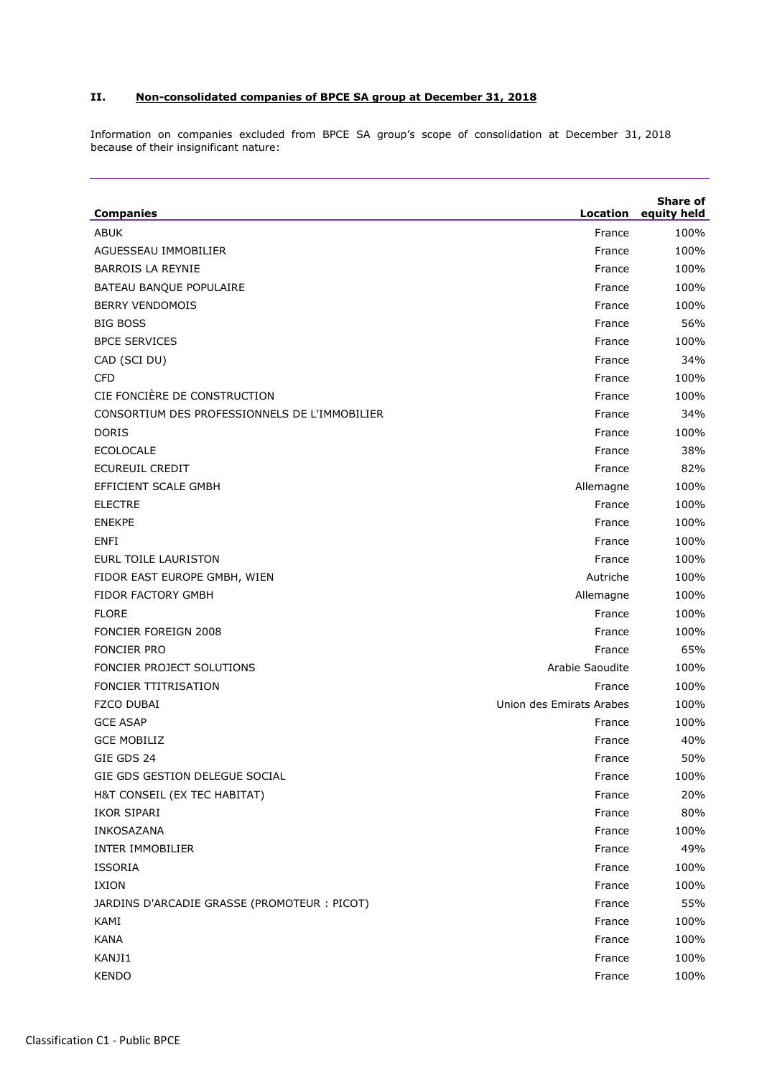## **II. Non-consolidated companies of BPCE SA group at December 31, 2018**

Information on companies excluded from BPCE SA group's scope of consolidation at December 31, 2018 because of their insignificant nature:

| <b>Companies</b>                              | Location                 | Share of<br>equity held |
|-----------------------------------------------|--------------------------|-------------------------|
| <b>ABUK</b>                                   | France                   | 100%                    |
| AGUESSEAU IMMOBILIER                          | France                   | 100%                    |
| <b>BARROIS LA REYNIE</b>                      | France                   | 100%                    |
| <b>BATEAU BANQUE POPULAIRE</b>                | France                   | 100%                    |
| <b>BERRY VENDOMOIS</b>                        | France                   | 100%                    |
| <b>BIG BOSS</b>                               | France                   | 56%                     |
| <b>BPCE SERVICES</b>                          | France                   | 100%                    |
| CAD (SCI DU)                                  | France                   | 34%                     |
| <b>CFD</b>                                    | France                   | 100%                    |
| CIE FONCIÈRE DE CONSTRUCTION                  | France                   | 100%                    |
| CONSORTIUM DES PROFESSIONNELS DE L'IMMOBILIER | France                   | 34%                     |
| <b>DORIS</b>                                  | France                   | 100%                    |
| <b>ECOLOCALE</b>                              | France                   | 38%                     |
| ECUREUIL CREDIT                               | France                   | 82%                     |
| EFFICIENT SCALE GMBH                          | Allemagne                | 100%                    |
| <b>ELECTRE</b>                                | France                   | 100%                    |
| <b>ENEKPE</b>                                 | France                   | 100%                    |
| <b>ENFI</b>                                   | France                   | 100%                    |
| <b>EURL TOILE LAURISTON</b>                   | France                   | 100%                    |
| FIDOR EAST EUROPE GMBH, WIEN                  | Autriche                 | 100%                    |
| <b>FIDOR FACTORY GMBH</b>                     | Allemagne                | 100%                    |
| <b>FLORE</b>                                  | France                   | 100%                    |
| <b>FONCIER FOREIGN 2008</b>                   | France                   | 100%                    |
| <b>FONCIER PRO</b>                            | France                   | 65%                     |
| FONCIER PROJECT SOLUTIONS                     | Arabie Saoudite          | 100%                    |
| <b>FONCIER TTITRISATION</b>                   | France                   | 100%                    |
| <b>FZCO DUBAI</b>                             | Union des Emirats Arabes | 100%                    |
| <b>GCE ASAP</b>                               | France                   | 100%                    |
| <b>GCE MOBILIZ</b>                            | France                   | 40%                     |
| GIE GDS 24                                    | France                   | 50%                     |
| GIE GDS GESTION DELEGUE SOCIAL                | France                   | 100%                    |
| H&T CONSEIL (EX TEC HABITAT)                  | France                   | 20%                     |
| IKOR SIPARI                                   | France                   | 80%                     |
| INKOSAZANA                                    | France                   | 100%                    |
| INTER IMMOBILIER                              | France                   | 49%                     |
| <b>ISSORIA</b>                                | France                   | 100%                    |
| IXION                                         | France                   | 100%                    |
| JARDINS D'ARCADIE GRASSE (PROMOTEUR : PICOT)  | France                   | 55%                     |
| KAMI                                          | France                   | 100%                    |
| <b>KANA</b>                                   | France                   | 100%                    |
| KANJI1                                        | France                   | 100%                    |
| <b>KENDO</b>                                  | France                   | 100%                    |